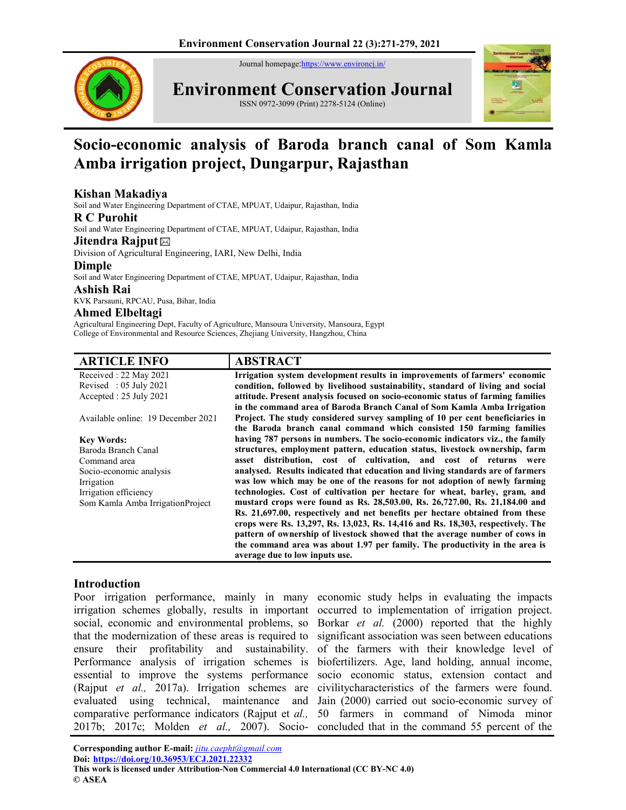Journal homepage: https://www.environcj.in/



**Environment Conservation Journal**

ISSN 0972-3099 (Print) 2278-5124 (Online)



# **Socio-economic analysis of Baroda branch canal of Som Kamla Amba irrigation project, Dungarpur, Rajasthan**

# **Kishan Makadiya**

Soil and Water Engineering Department of CTAE, MPUAT, Udaipur, Rajasthan, India

#### **R C Purohit**

Soil and Water Engineering Department of CTAE, MPUAT, Udaipur, Rajasthan, India

#### **Jitendra Rajput**

Division of Agricultural Engineering, IARI, New Delhi, India

#### **Dimple**

Soil and Water Engineering Department of CTAE, MPUAT, Udaipur, Rajasthan, India

#### **Ashish Rai**

KVK Parsauni, RPCAU, Pusa, Bihar, India

#### **Ahmed Elbeltagi**

Agricultural Engineering Dept, Faculty of Agriculture, Mansoura University, Mansoura, Egypt College of Environmental and Resource Sciences, Zhejiang University, Hangzhou, China

| <b>ARTICLE INFO</b>                | <b>ABSTRACT</b>                                                                 |
|------------------------------------|---------------------------------------------------------------------------------|
| Received: 22 May 2021              | Irrigation system development results in improvements of farmers' economic      |
| Revised : $05$ July 2021           | condition, followed by livelihood sustainability, standard of living and social |
| Accepted: 25 July 2021             | attitude. Present analysis focused on socio-economic status of farming families |
|                                    | in the command area of Baroda Branch Canal of Som Kamla Amba Irrigation         |
| Available online: 19 December 2021 | Project. The study considered survey sampling of 10 per cent beneficiaries in   |
|                                    | the Baroda branch canal command which consisted 150 farming families            |
| <b>Key Words:</b>                  | having 787 persons in numbers. The socio-economic indicators viz., the family   |
| Baroda Branch Canal                | structures, employment pattern, education status, livestock ownership, farm     |
| Command area                       | asset distribution, cost of cultivation, and cost of returns were               |
| Socio-economic analysis            | analysed. Results indicated that education and living standards are of farmers  |
| Irrigation                         | was low which may be one of the reasons for not adoption of newly farming       |
| Irrigation efficiency              | technologies. Cost of cultivation per hectare for wheat, barley, gram, and      |
| Som Kamla Amba IrrigationProject   | mustard crops were found as Rs. 28,503.00, Rs. 26,727.00, Rs. 21,184.00 and     |
|                                    | Rs. 21,697.00, respectively and net benefits per hectare obtained from these    |
|                                    | crops were Rs. 13,297, Rs. 13,023, Rs. 14,416 and Rs. 18,303, respectively. The |
|                                    | pattern of ownership of livestock showed that the average number of cows in     |
|                                    | the command area was about 1.97 per family. The productivity in the area is     |
|                                    | average due to low inputs use.                                                  |

# **Introduction**

social, economic and environmental problems, so that the modernization of these areas is required to ensure their profitability and sustainability. Performance analysis of irrigation schemes is essential to improve the systems performance (Rajput *et al.,* 2017a). Irrigation schemes are evaluated using technical, maintenance and comparative performance indicators (Rajput et *al.,*  2017b; 2017c; Molden *et al.,* 2007). Socio-concluded that in the command 55 percent of the

Poor irrigation performance, mainly in many economic study helps in evaluating the impacts irrigation schemes globally, results in important occurred to implementation of irrigation project. Borkar *et al.* (2000) reported that the highly significant association was seen between educations of the farmers with their knowledge level of biofertilizers. Age, land holding, annual income, socio economic status, extension contact and civilitycharacteristics of the farmers were found. Jain (2000) carried out socio-economic survey of 50 farmers in command of Nimoda minor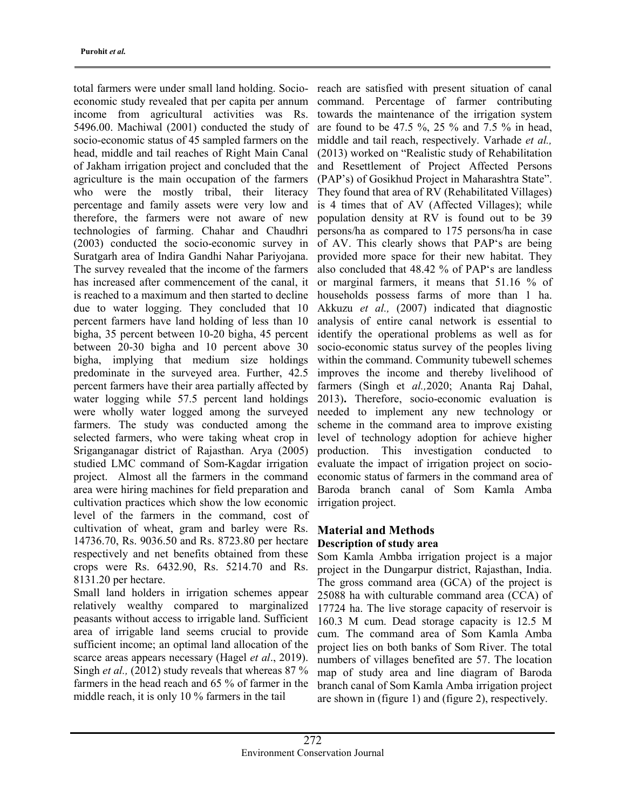total farmers were under small land holding. Socioeconomic study revealed that per capita per annum income from agricultural activities was Rs. 5496.00. Machiwal (2001) conducted the study of socio-economic status of 45 sampled farmers on the head, middle and tail reaches of Right Main Canal of Jakham irrigation project and concluded that the agriculture is the main occupation of the farmers who were the mostly tribal, their literacy percentage and family assets were very low and therefore, the farmers were not aware of new technologies of farming. Chahar and Chaudhri (2003) conducted the socio-economic survey in Suratgarh area of Indira Gandhi Nahar Pariyojana. The survey revealed that the income of the farmers has increased after commencement of the canal, it is reached to a maximum and then started to decline due to water logging. They concluded that 10 percent farmers have land holding of less than 10 bigha, 35 percent between 10-20 bigha, 45 percent between 20-30 bigha and 10 percent above 30 bigha, implying that medium size holdings predominate in the surveyed area. Further, 42.5 percent farmers have their area partially affected by water logging while 57.5 percent land holdings were wholly water logged among the surveyed farmers. The study was conducted among the selected farmers, who were taking wheat crop in Sriganganagar district of Rajasthan. Arya (2005) studied LMC command of Som-Kagdar irrigation project. Almost all the farmers in the command area were hiring machines for field preparation and cultivation practices which show the low economic level of the farmers in the command, cost of cultivation of wheat, gram and barley were Rs. 14736.70, Rs. 9036.50 and Rs. 8723.80 per hectare respectively and net benefits obtained from these crops were Rs. 6432.90, Rs. 5214.70 and Rs. 8131.20 per hectare.

Small land holders in irrigation schemes appear relatively wealthy compared to marginalized peasants without access to irrigable land. Sufficient area of irrigable land seems crucial to provide sufficient income; an optimal land allocation of the scarce areas appears necessary (Hagel *et al*., 2019). Singh *et al.,* (2012) study reveals that whereas 87 % farmers in the head reach and 65 % of farmer in the middle reach, it is only 10 % farmers in the tail

reach are satisfied with present situation of canal command. Percentage of farmer contributing towards the maintenance of the irrigation system are found to be 47.5 %, 25 % and 7.5 % in head, middle and tail reach, respectively. Varhade *et al.,* (2013) worked on "Realistic study of Rehabilitation and Resettlement of Project Affected Persons (PAP's) of Gosikhud Project in Maharashtra State". They found that area of RV (Rehabilitated Villages) is 4 times that of AV (Affected Villages); while population density at RV is found out to be 39 persons/ha as compared to 175 persons/ha in case of AV. This clearly shows that PAP's are being provided more space for their new habitat. They also concluded that 48.42 % of PAP's are landless or marginal farmers, it means that 51.16 % of households possess farms of more than 1 ha. Akkuzu *et al.,* (2007) indicated that diagnostic analysis of entire canal network is essential to identify the operational problems as well as for socio-economic status survey of the peoples living within the command. Community tubewell schemes improves the income and thereby livelihood of farmers (Singh et *al.,*2020; Ananta Raj Dahal, 2013)**.** Therefore, socio-economic evaluation is needed to implement any new technology or scheme in the command area to improve existing level of technology adoption for achieve higher production. This investigation conducted to evaluate the impact of irrigation project on socioeconomic status of farmers in the command area of Baroda branch canal of Som Kamla Amba irrigation project.

# **Material and Methods Description of study area**

Som Kamla Ambba irrigation project is a major project in the Dungarpur district, Rajasthan, India. The gross command area (GCA) of the project is 25088 ha with culturable command area (CCA) of 17724 ha. The live storage capacity of reservoir is 160.3 M cum. Dead storage capacity is 12.5 M cum. The command area of Som Kamla Amba project lies on both banks of Som River. The total numbers of villages benefited are 57. The location map of study area and line diagram of Baroda branch canal of Som Kamla Amba irrigation project are shown in (figure 1) and (figure 2), respectively.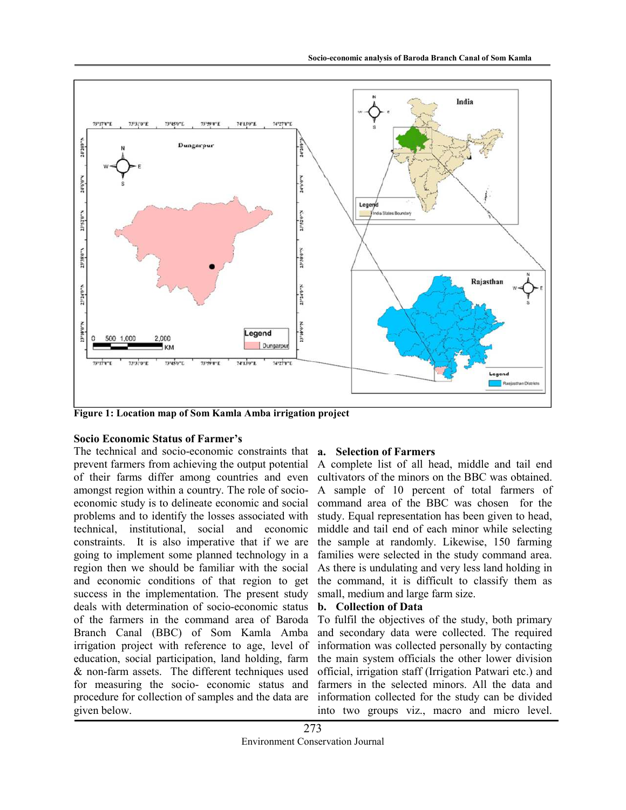

**Figure 1: Location map of Som Kamla Amba irrigation project** 

# **Socio Economic Status of Farmer's**

The technical and socio-economic constraints that **a. Selection of Farmers**  prevent farmers from achieving the output potential of their farms differ among countries and even amongst region within a country. The role of socioeconomic study is to delineate economic and social problems and to identify the losses associated with technical, institutional, social and economic constraints. It is also imperative that if we are going to implement some planned technology in a region then we should be familiar with the social and economic conditions of that region to get success in the implementation. The present study deals with determination of socio-economic status of the farmers in the command area of Baroda Branch Canal (BBC) of Som Kamla Amba irrigation project with reference to age, level of education, social participation, land holding, farm & non-farm assets. The different techniques used for measuring the socio- economic status and procedure for collection of samples and the data are given below.

A complete list of all head, middle and tail end cultivators of the minors on the BBC was obtained. A sample of 10 percent of total farmers of command area of the BBC was chosen for the study. Equal representation has been given to head, middle and tail end of each minor while selecting the sample at randomly. Likewise, 150 farming families were selected in the study command area. As there is undulating and very less land holding in the command, it is difficult to classify them as small, medium and large farm size.

# **b. Collection of Data**

To fulfil the objectives of the study, both primary and secondary data were collected. The required information was collected personally by contacting the main system officials the other lower division official, irrigation staff (Irrigation Patwari etc.) and farmers in the selected minors. All the data and information collected for the study can be divided into two groups viz., macro and micro level.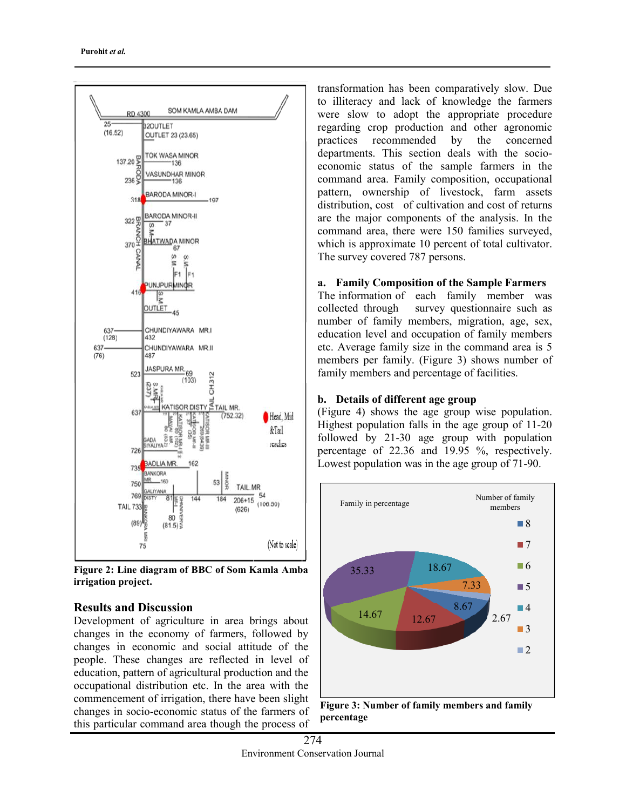

**Figure 2: Line diagram of BBC of Som Kamla Amba irrigation project.** 

# **Results and Discussion**

Development of agriculture in area brings about changes in the economy of farmers, followed by changes in economic and social attitude of the people. These changes are reflected in level of education, pattern of agricultural production and the occupational distribution etc. In the area with the commencement of irrigation, there have been slight changes in socio-economic status of the farmers of this particular command area though the process of

transformation has been comparatively slow. Due to illiteracy and lack of knowledge the farmers were slow to adopt the appropriate procedure regarding crop production and other agronomic practices recommended by the concerned departments. This section deals with the socioeconomic status of the sample farmers in the command area. Family composition, occupational pattern, ownership of livestock, farm assets distribution, cost of cultivation and cost of returns are the major components of the analysis. In the command area, there were 150 families surveyed, which is approximate 10 percent of total cultivator. The survey covered 787 persons.

# **a. Family Composition of the Sample Farmers**

The information of each family member was collected through survey questionnaire such as number of family members, migration, age, sex, education level and occupation of family members etc. Average family size in the command area is 5 members per family. (Figure 3) shows number of family members and percentage of facilities.

# **b. Details of different age group**

(Figure 4) shows the age group wise population. Highest population falls in the age group of 11-20 followed by 21-30 age group with population percentage of 22.36 and 19.95 %, respectively. Lowest population was in the age group of 71-90.



 **Figure 3: Number of family members and family percentage**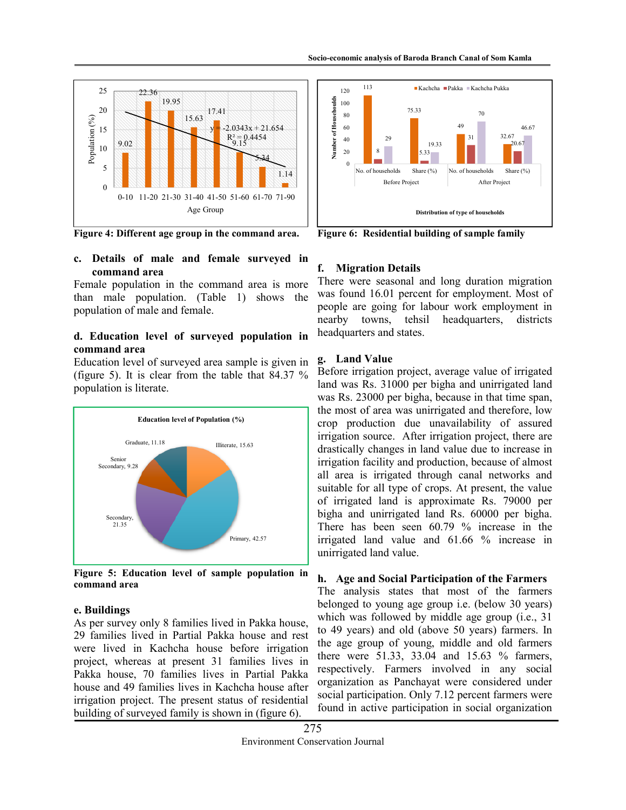

**Figure 4: Different age group in the command area.** 

# **c. Details of male and female surveyed in command area**

Female population in the command area is more than male population. (Table 1) shows the population of male and female.

# **d. Education level of surveyed population in command area**

Education level of surveyed area sample is given in (figure 5). It is clear from the table that 84.37 % population is literate.



**Figure 5: Education level of sample population in command area** 

# **e. Buildings**

As per survey only 8 families lived in Pakka house, 29 families lived in Partial Pakka house and rest were lived in Kachcha house before irrigation project, whereas at present 31 families lives in Pakka house, 70 families lives in Partial Pakka house and 49 families lives in Kachcha house after irrigation project. The present status of residential building of surveyed family is shown in (figure 6).



**Figure 6: Residential building of sample family** 

# **f. Migration Details**

There were seasonal and long duration migration was found 16.01 percent for employment. Most of people are going for labour work employment in nearby towns, tehsil headquarters, districts headquarters and states.

# **g. Land Value**

Before irrigation project, average value of irrigated land was Rs. 31000 per bigha and unirrigated land was Rs. 23000 per bigha, because in that time span, the most of area was unirrigated and therefore, low crop production due unavailability of assured irrigation source. After irrigation project, there are drastically changes in land value due to increase in irrigation facility and production, because of almost all area is irrigated through canal networks and suitable for all type of crops. At present, the value of irrigated land is approximate Rs. 79000 per bigha and unirrigated land Rs. 60000 per bigha. There has been seen 60.79 % increase in the irrigated land value and 61.66 % increase in unirrigated land value.

# **h. Age and Social Participation of the Farmers**

The analysis states that most of the farmers belonged to young age group i.e. (below 30 years) which was followed by middle age group (i.e., 31 to 49 years) and old (above 50 years) farmers. In the age group of young, middle and old farmers there were 51.33, 33.04 and 15.63 % farmers, respectively. Farmers involved in any social organization as Panchayat were considered under social participation. Only 7.12 percent farmers were found in active participation in social organization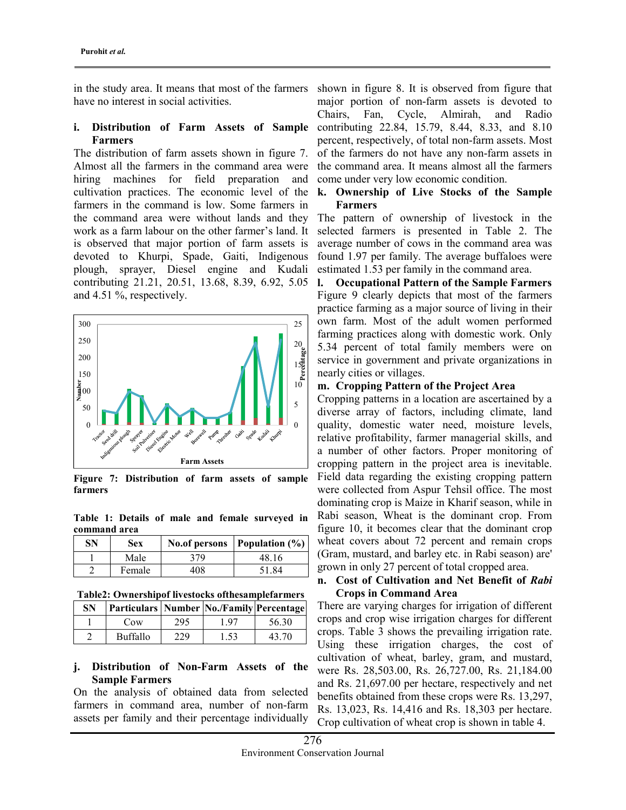in the study area. It means that most of the farmers have no interest in social activities.

#### **i. Distribution of Farm Assets of Sample Farmers**

The distribution of farm assets shown in figure 7. Almost all the farmers in the command area were hiring machines for field preparation and cultivation practices. The economic level of the farmers in the command is low. Some farmers in the command area were without lands and they work as a farm labour on the other farmer's land. It is observed that major portion of farm assets is devoted to Khurpi, Spade, Gaiti, Indigenous plough, sprayer, Diesel engine and Kudali contributing 21.21, 20.51, 13.68, 8.39, 6.92, 5.05 and 4.51 %, respectively.



**Figure 7: Distribution of farm assets of sample farmers** 

**Table 1: Details of male and female surveyed in command area** 

| SN | Sex    |     | No.of persons   Population $(\% )$ |
|----|--------|-----|------------------------------------|
|    | Male   | 379 | 48.16                              |
|    | Female | 408 | 51.84                              |

**Table2: Ownershipof livestocks ofthesamplefarmers** 

| SN | Particulars   Number   No./Family   Percentage |     |      |       |
|----|------------------------------------------------|-----|------|-------|
|    | Cow                                            | 295 | 1.97 | 56.30 |
|    | <b>Buffallo</b>                                | 229 | 1.53 | 43.70 |

#### **j. Distribution of Non-Farm Assets of the Sample Farmers**

On the analysis of obtained data from selected farmers in command area, number of non-farm assets per family and their percentage individually

shown in figure 8. It is observed from figure that major portion of non-farm assets is devoted to Chairs, Fan, Cycle, Almirah, and Radio contributing 22.84, 15.79, 8.44, 8.33, and 8.10 percent, respectively, of total non-farm assets. Most of the farmers do not have any non-farm assets in the command area. It means almost all the farmers come under very low economic condition.

#### **k. Ownership of Live Stocks of the Sample Farmers**

The pattern of ownership of livestock in the selected farmers is presented in Table 2. The average number of cows in the command area was found 1.97 per family. The average buffaloes were estimated 1.53 per family in the command area.

**l. Occupational Pattern of the Sample Farmers**  Figure 9 clearly depicts that most of the farmers practice farming as a major source of living in their own farm. Most of the adult women performed farming practices along with domestic work. Only 5.34 percent of total family members were on service in government and private organizations in nearly cities or villages.

#### **m. Cropping Pattern of the Project Area**

Cropping patterns in a location are ascertained by a diverse array of factors, including climate, land quality, domestic water need, moisture levels, relative profitability, farmer managerial skills, and a number of other factors. Proper monitoring of cropping pattern in the project area is inevitable. Field data regarding the existing cropping pattern were collected from Aspur Tehsil office. The most dominating crop is Maize in Kharif season, while in Rabi season, Wheat is the dominant crop. From figure 10, it becomes clear that the dominant crop wheat covers about 72 percent and remain crops (Gram, mustard, and barley etc. in Rabi season) are' grown in only 27 percent of total cropped area.

# **n. Cost of Cultivation and Net Benefit of** *Rabi* **Crops in Command Area**

There are varying charges for irrigation of different crops and crop wise irrigation charges for different crops. Table 3 shows the prevailing irrigation rate. Using these irrigation charges, the cost of cultivation of wheat, barley, gram, and mustard, were Rs. 28,503.00, Rs. 26,727.00, Rs. 21,184.00 and Rs. 21,697.00 per hectare, respectively and net benefits obtained from these crops were Rs. 13,297, Rs. 13,023, Rs. 14,416 and Rs. 18,303 per hectare. Crop cultivation of wheat crop is shown in table 4.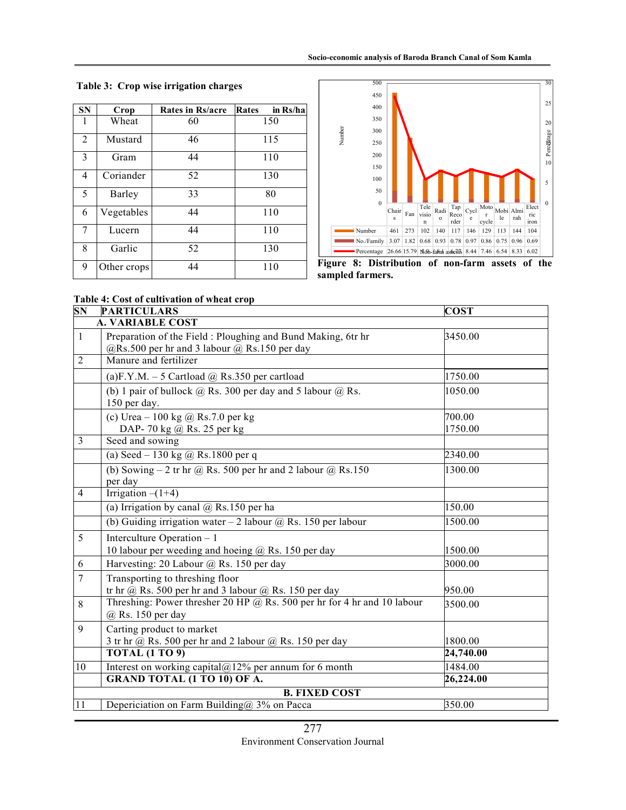**Table 3: Crop wise irrigation charges** 

| <b>SN</b>      | Crop        | Rates in Rs/acre | Rates<br>in Rs/ha |
|----------------|-------------|------------------|-------------------|
| 1              | Wheat       | 60               | 150               |
| $\overline{2}$ | Mustard     | 46               | 115               |
| 3              | Gram        | 44               | 110               |
| 4              | Coriander   | 52               | 130               |
| 5              | Barley      | 33               | 80                |
| 6              | Vegetables  | 44               | 110               |
| 7              | Lucern      | 44               | 110               |
| 8              | Garlic      | 52               | 130               |
| 9              | Other crops | 44               | 110               |



**Figure 8: Distribution of non-farm assets of the sampled farmers.**

#### **Table 4: Cost of cultivation of wheat crop**

| $\overline{\bf SN}$     | <b>PARTICULARS</b>                                                                                          | <b>COST</b>       |  |  |
|-------------------------|-------------------------------------------------------------------------------------------------------------|-------------------|--|--|
|                         | <b>A. VARIABLE COST</b>                                                                                     |                   |  |  |
| $\mathbf{1}$            | Preparation of the Field: Ploughing and Bund Making, 6tr hr<br>@Rs.500 per hr and 3 labour @ Rs.150 per day | 3450.00           |  |  |
| $\overline{2}$          | Manure and fertilizer                                                                                       |                   |  |  |
|                         | (a)F.Y.M. $-5$ Cartload @ Rs.350 per cartload                                                               | 1750.00           |  |  |
|                         | (b) 1 pair of bullock $@$ Rs. 300 per day and 5 labour $@$ Rs.<br>150 per day.                              | 1050.00           |  |  |
|                         | (c) Urea $-100$ kg @ Rs.7.0 per kg<br>DAP-70 kg @ Rs. 25 per kg                                             | 700.00<br>1750.00 |  |  |
| $\overline{\mathbf{3}}$ | Seed and sowing                                                                                             |                   |  |  |
|                         | (a) Seed - 130 kg @ Rs.1800 per q                                                                           | 2340.00           |  |  |
|                         | (b) Sowing $-2$ tr hr @ Rs. 500 per hr and 2 labour @ Rs.150<br>per day                                     | 1300.00           |  |  |
| $\overline{4}$          | Irrigation $-(1+4)$                                                                                         |                   |  |  |
|                         | (a) Irrigation by canal $@$ Rs.150 per ha                                                                   | 150.00            |  |  |
|                         | (b) Guiding irrigation water $-2$ labour $@$ Rs. 150 per labour                                             | 1500.00           |  |  |
| 5                       | Interculture Operation - 1<br>10 labour per weeding and hoeing @ Rs. 150 per day                            | 1500.00           |  |  |
| 6                       | Harvesting: 20 Labour @ Rs. 150 per day                                                                     | 3000.00           |  |  |
| $\overline{7}$          | Transporting to threshing floor<br>tr hr @ Rs. 500 per hr and 3 labour @ Rs. 150 per day                    | 950.00            |  |  |
| 8                       | Threshing: Power thresher 20 HP $@$ Rs. 500 per hr for 4 hr and 10 labour<br>@ Rs. 150 per day              | 3500.00           |  |  |
| 9                       | Carting product to market<br>3 tr hr @ Rs. 500 per hr and 2 labour @ Rs. 150 per day                        | 1800.00           |  |  |
|                         | <b>TOTAL (1 TO 9)</b>                                                                                       | 24,740.00         |  |  |
| 10                      | Interest on working capital@12% per annum for 6 month                                                       | 1484.00           |  |  |
|                         | <b>GRAND TOTAL (1 TO 10) OF A.</b>                                                                          | 26,224.00         |  |  |
|                         | <b>B. FIXED COST</b>                                                                                        |                   |  |  |
| 11                      | Depericiation on Farm Building@ 3% on Pacca                                                                 | 350.00            |  |  |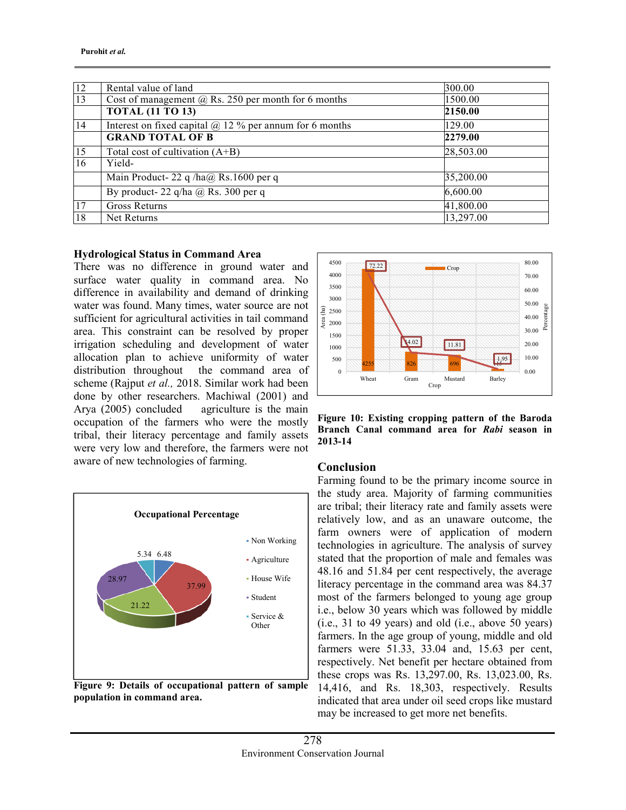| 12 | Rental value of land                                           | 300.00    |
|----|----------------------------------------------------------------|-----------|
| 13 | Cost of management $\omega$ Rs. 250 per month for 6 months     | 1500.00   |
|    | <b>TOTAL (11 TO 13)</b>                                        | 2150.00   |
| 14 | Interest on fixed capital $\omega$ 12 % per annum for 6 months | 129.00    |
|    | <b>GRAND TOTAL OF B</b>                                        | 2279.00   |
| 15 | Total cost of cultivation $(A+B)$                              | 28,503.00 |
| 16 | Yield-                                                         |           |
|    | Main Product-22 q /ha@ Rs.1600 per q                           | 35,200.00 |
|    | By product- 22 q/ha $\omega$ Rs. 300 per q                     | 6,600.00  |
| 17 | Gross Returns                                                  | 41,800.00 |
| 18 | Net Returns                                                    | 13,297.00 |

#### **Hydrological Status in Command Area**

There was no difference in ground water and surface water quality in command area. No difference in availability and demand of drinking water was found. Many times, water source are not sufficient for agricultural activities in tail command area. This constraint can be resolved by proper irrigation scheduling and development of water allocation plan to achieve uniformity of water distribution throughout the command area of scheme (Rajput *et al.,* 2018. Similar work had been done by other researchers. Machiwal (2001) and Arya (2005) concluded agriculture is the main occupation of the farmers who were the mostly tribal, their literacy percentage and family assets were very low and therefore, the farmers were not aware of new technologies of farming.



**Figure 9: Details of occupational pattern of sample population in command area.** 



**Figure 10: Existing cropping pattern of the Baroda Branch Canal command area for** *Rabi* **season in 2013-14** 

# **Conclusion**

Farming found to be the primary income source in the study area. Majority of farming communities are tribal; their literacy rate and family assets were relatively low, and as an unaware outcome, the farm owners were of application of modern technologies in agriculture. The analysis of survey stated that the proportion of male and females was 48.16 and 51.84 per cent respectively, the average literacy percentage in the command area was 84.37 most of the farmers belonged to young age group i.e., below 30 years which was followed by middle (i.e., 31 to 49 years) and old (i.e., above 50 years) farmers. In the age group of young, middle and old farmers were 51.33, 33.04 and, 15.63 per cent, respectively. Net benefit per hectare obtained from these crops was Rs. 13,297.00, Rs. 13,023.00, Rs. 14,416, and Rs. 18,303, respectively. Results indicated that area under oil seed crops like mustard may be increased to get more net benefits.